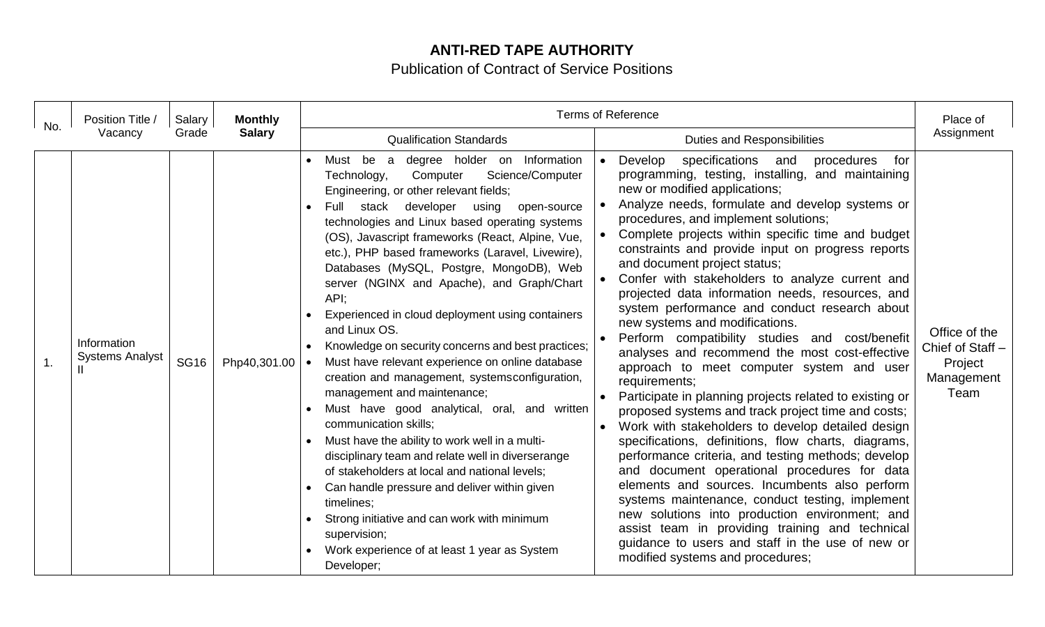## **ANTI-RED TAPE AUTHORITY**

Publication of Contract of Service Positions

| No. | Position Title /<br>Vacancy           | Salary<br>Grade | <b>Monthly</b><br><b>Salary</b> | <b>Terms of Reference</b>                                                                                                                                                                                                                                                                                                                                                                                                                                                                                                                                                                                                                                                                                                                                                                                                                                                                                                                                                                                                                                                                                                                        |                                                                                                                                                                                                                                                                                                                                                                                                                                                                                                                                                                                                                                                                                                                                                                                                                                                                                                                                                                                                                                                                                                                                                                                                                                                                                                                                                                                  |                                                                    |
|-----|---------------------------------------|-----------------|---------------------------------|--------------------------------------------------------------------------------------------------------------------------------------------------------------------------------------------------------------------------------------------------------------------------------------------------------------------------------------------------------------------------------------------------------------------------------------------------------------------------------------------------------------------------------------------------------------------------------------------------------------------------------------------------------------------------------------------------------------------------------------------------------------------------------------------------------------------------------------------------------------------------------------------------------------------------------------------------------------------------------------------------------------------------------------------------------------------------------------------------------------------------------------------------|----------------------------------------------------------------------------------------------------------------------------------------------------------------------------------------------------------------------------------------------------------------------------------------------------------------------------------------------------------------------------------------------------------------------------------------------------------------------------------------------------------------------------------------------------------------------------------------------------------------------------------------------------------------------------------------------------------------------------------------------------------------------------------------------------------------------------------------------------------------------------------------------------------------------------------------------------------------------------------------------------------------------------------------------------------------------------------------------------------------------------------------------------------------------------------------------------------------------------------------------------------------------------------------------------------------------------------------------------------------------------------|--------------------------------------------------------------------|
|     |                                       |                 |                                 | <b>Qualification Standards</b>                                                                                                                                                                                                                                                                                                                                                                                                                                                                                                                                                                                                                                                                                                                                                                                                                                                                                                                                                                                                                                                                                                                   | <b>Duties and Responsibilities</b>                                                                                                                                                                                                                                                                                                                                                                                                                                                                                                                                                                                                                                                                                                                                                                                                                                                                                                                                                                                                                                                                                                                                                                                                                                                                                                                                               | Assignment                                                         |
| 1.  | Information<br><b>Systems Analyst</b> | <b>SG16</b>     | Php40,301.00                    | degree holder on Information<br>Must be<br>a<br>Science/Computer<br>Computer<br>Technology,<br>Engineering, or other relevant fields;<br>stack developer<br>Full<br>using<br>open-source<br>technologies and Linux based operating systems<br>(OS), Javascript frameworks (React, Alpine, Vue,<br>etc.), PHP based frameworks (Laravel, Livewire),<br>Databases (MySQL, Postgre, MongoDB), Web<br>server (NGINX and Apache), and Graph/Chart<br>API;<br>Experienced in cloud deployment using containers<br>and Linux OS.<br>Knowledge on security concerns and best practices;<br>Must have relevant experience on online database<br>creation and management, systemsconfiguration,<br>management and maintenance;<br>Must have good analytical, oral, and written<br>communication skills;<br>Must have the ability to work well in a multi-<br>disciplinary team and relate well in diverserange<br>of stakeholders at local and national levels;<br>Can handle pressure and deliver within given<br>timelines;<br>Strong initiative and can work with minimum<br>supervision;<br>Work experience of at least 1 year as System<br>Developer; | Develop<br>specifications<br>procedures<br>for<br>and<br>programming, testing, installing, and maintaining<br>new or modified applications;<br>Analyze needs, formulate and develop systems or<br>procedures, and implement solutions;<br>Complete projects within specific time and budget<br>constraints and provide input on progress reports<br>and document project status;<br>Confer with stakeholders to analyze current and<br>projected data information needs, resources, and<br>system performance and conduct research about<br>new systems and modifications.<br>Perform compatibility studies and cost/benefit<br>analyses and recommend the most cost-effective<br>approach to meet computer system and user<br>requirements;<br>Participate in planning projects related to existing or<br>proposed systems and track project time and costs;<br>Work with stakeholders to develop detailed design<br>specifications, definitions, flow charts, diagrams,<br>performance criteria, and testing methods; develop<br>and document operational procedures for data<br>elements and sources. Incumbents also perform<br>systems maintenance, conduct testing, implement<br>new solutions into production environment; and<br>assist team in providing training and technical<br>guidance to users and staff in the use of new or<br>modified systems and procedures; | Office of the<br>Chief of Staff -<br>Project<br>Management<br>Team |